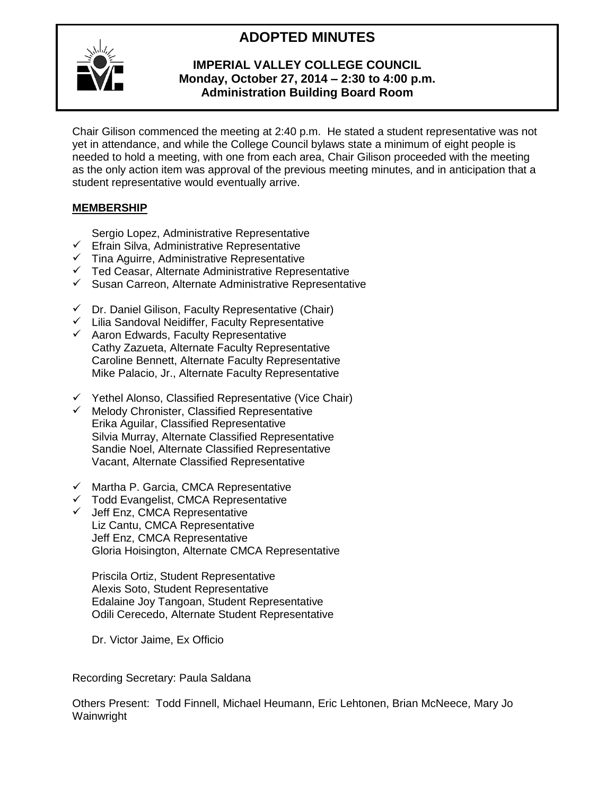# **ADOPTED MINUTES**



# **IMPERIAL VALLEY COLLEGE COUNCIL Monday, October 27, 2014 – 2:30 to 4:00 p.m. Administration Building Board Room**

Chair Gilison commenced the meeting at 2:40 p.m. He stated a student representative was not yet in attendance, and while the College Council bylaws state a minimum of eight people is needed to hold a meeting, with one from each area, Chair Gilison proceeded with the meeting as the only action item was approval of the previous meeting minutes, and in anticipation that a student representative would eventually arrive.

# **MEMBERSHIP**

Sergio Lopez, Administrative Representative

- $\checkmark$  Efrain Silva, Administrative Representative
- $\checkmark$  Tina Aguirre, Administrative Representative
- $\checkmark$  Ted Ceasar, Alternate Administrative Representative
- $\checkmark$  Susan Carreon, Alternate Administrative Representative
- $\checkmark$  Dr. Daniel Gilison, Faculty Representative (Chair)
- $\checkmark$  Lilia Sandoval Neidiffer, Faculty Representative
- $\checkmark$  Aaron Edwards, Faculty Representative Cathy Zazueta, Alternate Faculty Representative Caroline Bennett, Alternate Faculty Representative Mike Palacio, Jr., Alternate Faculty Representative
- $\checkmark$  Yethel Alonso, Classified Representative (Vice Chair)
- $\checkmark$  Melody Chronister, Classified Representative Erika Aguilar, Classified Representative Silvia Murray, Alternate Classified Representative Sandie Noel, Alternate Classified Representative Vacant, Alternate Classified Representative
- $\checkmark$  Martha P. Garcia, CMCA Representative
- $\checkmark$  Todd Evangelist, CMCA Representative
- $\checkmark$  Jeff Enz, CMCA Representative Liz Cantu, CMCA Representative Jeff Enz, CMCA Representative Gloria Hoisington, Alternate CMCA Representative

Priscila Ortiz, Student Representative Alexis Soto, Student Representative Edalaine Joy Tangoan, Student Representative Odili Cerecedo, Alternate Student Representative

Dr. Victor Jaime, Ex Officio

Recording Secretary: Paula Saldana

Others Present: Todd Finnell, Michael Heumann, Eric Lehtonen, Brian McNeece, Mary Jo Wainwright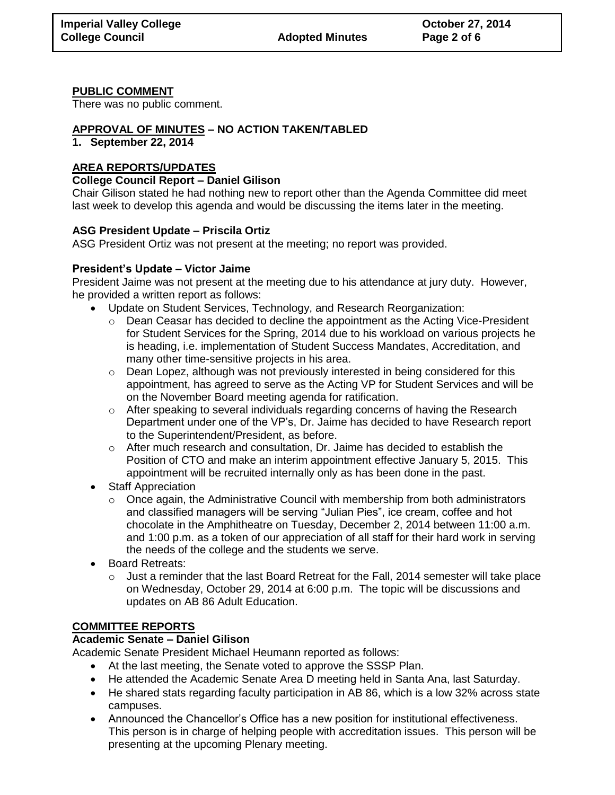## **PUBLIC COMMENT**

There was no public comment.

# **APPROVAL OF MINUTES – NO ACTION TAKEN/TABLED**

#### **1. September 22, 2014**

# **AREA REPORTS/UPDATES**

## **College Council Report – Daniel Gilison**

Chair Gilison stated he had nothing new to report other than the Agenda Committee did meet last week to develop this agenda and would be discussing the items later in the meeting.

## **ASG President Update – Priscila Ortiz**

ASG President Ortiz was not present at the meeting; no report was provided.

## **President's Update – Victor Jaime**

President Jaime was not present at the meeting due to his attendance at jury duty. However, he provided a written report as follows:

- Update on Student Services, Technology, and Research Reorganization:
	- $\circ$  Dean Ceasar has decided to decline the appointment as the Acting Vice-President for Student Services for the Spring, 2014 due to his workload on various projects he is heading, i.e. implementation of Student Success Mandates, Accreditation, and many other time-sensitive projects in his area.
	- o Dean Lopez, although was not previously interested in being considered for this appointment, has agreed to serve as the Acting VP for Student Services and will be on the November Board meeting agenda for ratification.
	- $\circ$  After speaking to several individuals regarding concerns of having the Research Department under one of the VP's, Dr. Jaime has decided to have Research report to the Superintendent/President, as before.
	- $\circ$  After much research and consultation, Dr. Jaime has decided to establish the Position of CTO and make an interim appointment effective January 5, 2015. This appointment will be recruited internally only as has been done in the past.
- Staff Appreciation
	- $\circ$  Once again, the Administrative Council with membership from both administrators and classified managers will be serving "Julian Pies", ice cream, coffee and hot chocolate in the Amphitheatre on Tuesday, December 2, 2014 between 11:00 a.m. and 1:00 p.m. as a token of our appreciation of all staff for their hard work in serving the needs of the college and the students we serve.
- Board Retreats:
	- $\circ$  Just a reminder that the last Board Retreat for the Fall, 2014 semester will take place on Wednesday, October 29, 2014 at 6:00 p.m. The topic will be discussions and updates on AB 86 Adult Education.

## **COMMITTEE REPORTS**

## **Academic Senate – Daniel Gilison**

Academic Senate President Michael Heumann reported as follows:

- At the last meeting, the Senate voted to approve the SSSP Plan.
- He attended the Academic Senate Area D meeting held in Santa Ana, last Saturday.
- He shared stats regarding faculty participation in AB 86, which is a low 32% across state campuses.
- Announced the Chancellor's Office has a new position for institutional effectiveness. This person is in charge of helping people with accreditation issues. This person will be presenting at the upcoming Plenary meeting.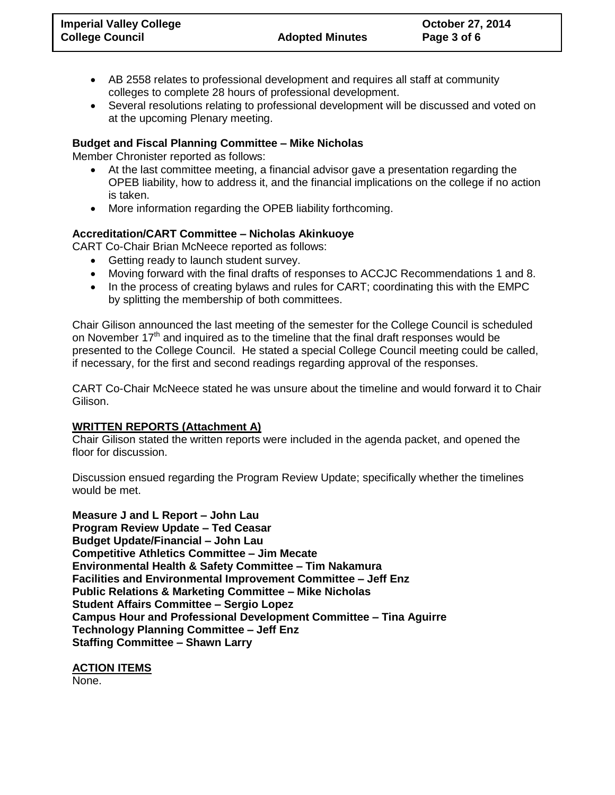- AB 2558 relates to professional development and requires all staff at community colleges to complete 28 hours of professional development.
- Several resolutions relating to professional development will be discussed and voted on at the upcoming Plenary meeting.

## **Budget and Fiscal Planning Committee – Mike Nicholas**

Member Chronister reported as follows:

- At the last committee meeting, a financial advisor gave a presentation regarding the OPEB liability, how to address it, and the financial implications on the college if no action is taken.
- More information regarding the OPEB liability forthcoming.

# **Accreditation/CART Committee – Nicholas Akinkuoye**

CART Co-Chair Brian McNeece reported as follows:

- Getting ready to launch student survey.
- Moving forward with the final drafts of responses to ACCJC Recommendations 1 and 8.
- In the process of creating bylaws and rules for CART; coordinating this with the EMPC by splitting the membership of both committees.

Chair Gilison announced the last meeting of the semester for the College Council is scheduled on November  $17<sup>th</sup>$  and inquired as to the timeline that the final draft responses would be presented to the College Council. He stated a special College Council meeting could be called, if necessary, for the first and second readings regarding approval of the responses.

CART Co-Chair McNeece stated he was unsure about the timeline and would forward it to Chair Gilison.

## **WRITTEN REPORTS (Attachment A)**

Chair Gilison stated the written reports were included in the agenda packet, and opened the floor for discussion.

Discussion ensued regarding the Program Review Update; specifically whether the timelines would be met.

**Measure J and L Report – John Lau Program Review Update – Ted Ceasar Budget Update/Financial – John Lau Competitive Athletics Committee – Jim Mecate Environmental Health & Safety Committee – Tim Nakamura Facilities and Environmental Improvement Committee – Jeff Enz Public Relations & Marketing Committee – Mike Nicholas Student Affairs Committee – Sergio Lopez Campus Hour and Professional Development Committee – Tina Aguirre Technology Planning Committee – Jeff Enz Staffing Committee – Shawn Larry**

**ACTION ITEMS** None.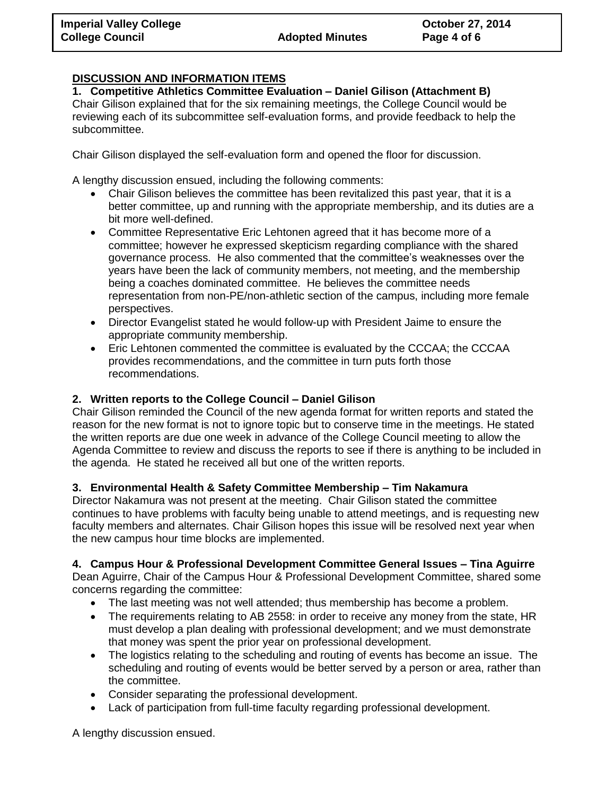# **DISCUSSION AND INFORMATION ITEMS**

**1. Competitive Athletics Committee Evaluation – Daniel Gilison (Attachment B)** Chair Gilison explained that for the six remaining meetings, the College Council would be reviewing each of its subcommittee self-evaluation forms, and provide feedback to help the subcommittee.

Chair Gilison displayed the self-evaluation form and opened the floor for discussion.

A lengthy discussion ensued, including the following comments:

- Chair Gilison believes the committee has been revitalized this past year, that it is a better committee, up and running with the appropriate membership, and its duties are a bit more well-defined.
- Committee Representative Eric Lehtonen agreed that it has become more of a committee; however he expressed skepticism regarding compliance with the shared governance process. He also commented that the committee's weaknesses over the years have been the lack of community members, not meeting, and the membership being a coaches dominated committee. He believes the committee needs representation from non-PE/non-athletic section of the campus, including more female perspectives.
- Director Evangelist stated he would follow-up with President Jaime to ensure the appropriate community membership.
- Eric Lehtonen commented the committee is evaluated by the CCCAA; the CCCAA provides recommendations, and the committee in turn puts forth those recommendations.

# **2. Written reports to the College Council – Daniel Gilison**

Chair Gilison reminded the Council of the new agenda format for written reports and stated the reason for the new format is not to ignore topic but to conserve time in the meetings. He stated the written reports are due one week in advance of the College Council meeting to allow the Agenda Committee to review and discuss the reports to see if there is anything to be included in the agenda. He stated he received all but one of the written reports.

# **3. Environmental Health & Safety Committee Membership – Tim Nakamura**

Director Nakamura was not present at the meeting. Chair Gilison stated the committee continues to have problems with faculty being unable to attend meetings, and is requesting new faculty members and alternates. Chair Gilison hopes this issue will be resolved next year when the new campus hour time blocks are implemented.

# **4. Campus Hour & Professional Development Committee General Issues – Tina Aguirre**

Dean Aguirre, Chair of the Campus Hour & Professional Development Committee, shared some concerns regarding the committee:

- The last meeting was not well attended; thus membership has become a problem.
- The requirements relating to AB 2558: in order to receive any money from the state, HR must develop a plan dealing with professional development; and we must demonstrate that money was spent the prior year on professional development.
- The logistics relating to the scheduling and routing of events has become an issue. The scheduling and routing of events would be better served by a person or area, rather than the committee.
- Consider separating the professional development.
- Lack of participation from full-time faculty regarding professional development.

A lengthy discussion ensued.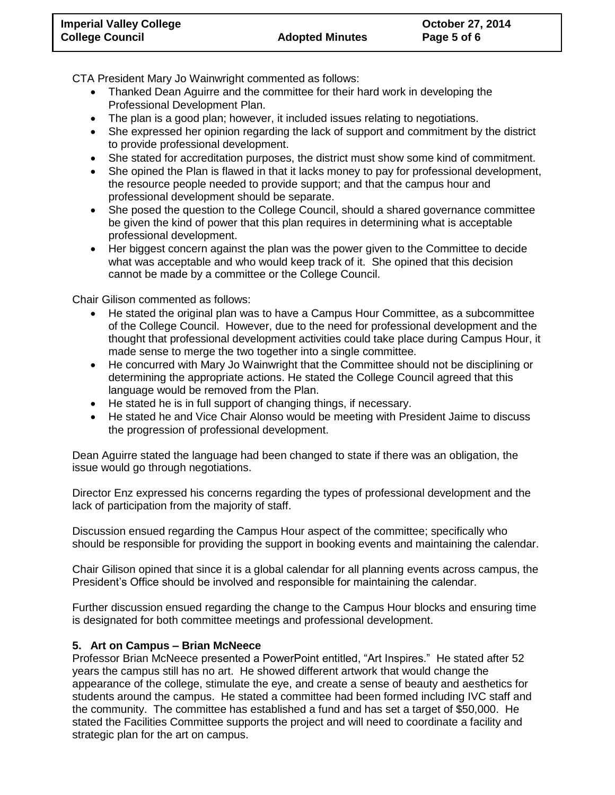CTA President Mary Jo Wainwright commented as follows:

- Thanked Dean Aguirre and the committee for their hard work in developing the Professional Development Plan.
- The plan is a good plan; however, it included issues relating to negotiations.
- She expressed her opinion regarding the lack of support and commitment by the district to provide professional development.
- She stated for accreditation purposes, the district must show some kind of commitment.
- She opined the Plan is flawed in that it lacks money to pay for professional development, the resource people needed to provide support; and that the campus hour and professional development should be separate.
- She posed the question to the College Council, should a shared governance committee be given the kind of power that this plan requires in determining what is acceptable professional development.
- Her biggest concern against the plan was the power given to the Committee to decide what was acceptable and who would keep track of it. She opined that this decision cannot be made by a committee or the College Council.

Chair Gilison commented as follows:

- He stated the original plan was to have a Campus Hour Committee, as a subcommittee of the College Council. However, due to the need for professional development and the thought that professional development activities could take place during Campus Hour, it made sense to merge the two together into a single committee.
- He concurred with Mary Jo Wainwright that the Committee should not be disciplining or determining the appropriate actions. He stated the College Council agreed that this language would be removed from the Plan.
- He stated he is in full support of changing things, if necessary.
- He stated he and Vice Chair Alonso would be meeting with President Jaime to discuss the progression of professional development.

Dean Aguirre stated the language had been changed to state if there was an obligation, the issue would go through negotiations.

Director Enz expressed his concerns regarding the types of professional development and the lack of participation from the majority of staff.

Discussion ensued regarding the Campus Hour aspect of the committee; specifically who should be responsible for providing the support in booking events and maintaining the calendar.

Chair Gilison opined that since it is a global calendar for all planning events across campus, the President's Office should be involved and responsible for maintaining the calendar.

Further discussion ensued regarding the change to the Campus Hour blocks and ensuring time is designated for both committee meetings and professional development.

## **5. Art on Campus – Brian McNeece**

Professor Brian McNeece presented a PowerPoint entitled, "Art Inspires." He stated after 52 years the campus still has no art. He showed different artwork that would change the appearance of the college, stimulate the eye, and create a sense of beauty and aesthetics for students around the campus. He stated a committee had been formed including IVC staff and the community. The committee has established a fund and has set a target of \$50,000. He stated the Facilities Committee supports the project and will need to coordinate a facility and strategic plan for the art on campus.